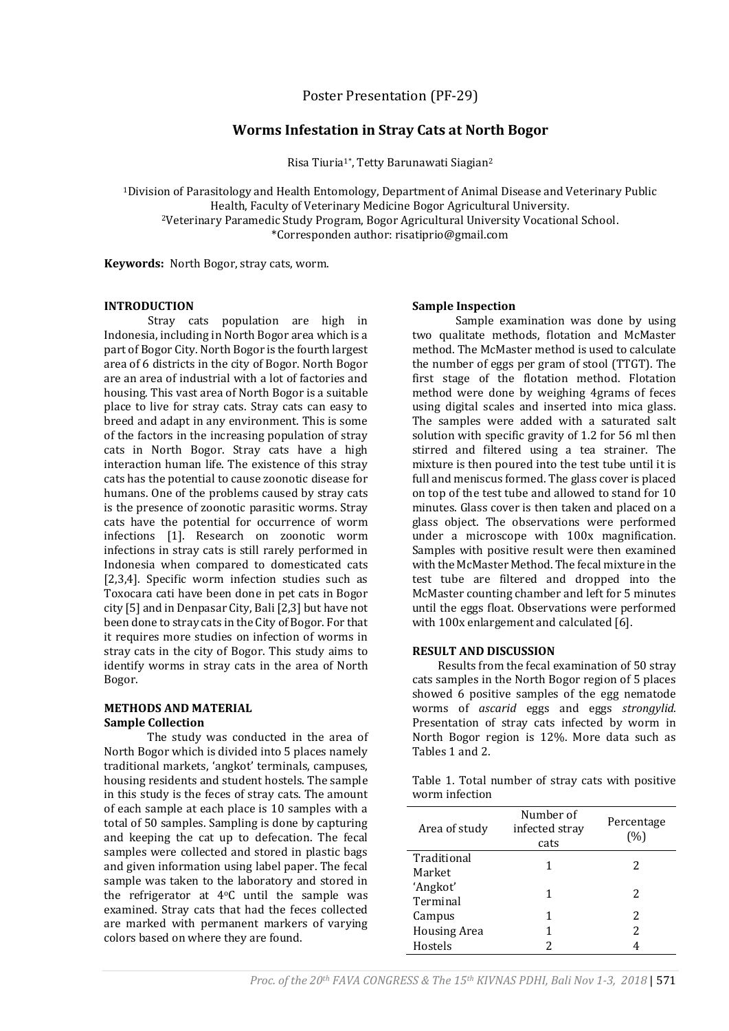Poster Presentation (PF-29)

# **Worms Infestation in Stray Cats at North Bogor**

Risa Tiuria1\*, Tetty Barunawati Siagian<sup>2</sup>

<sup>1</sup>Division of Parasitology and Health Entomology, Department of Animal Disease and Veterinary Public Health, Faculty of Veterinary Medicine Bogor Agricultural University. <sup>2</sup>Veterinary Paramedic Study Program, Bogor Agricultural University Vocational School. \*Corresponden author: risatiprio@gmail.com

**Keywords:** North Bogor, stray cats, worm.

#### **INTRODUCTION**

Stray cats population are high in Indonesia, including in North Bogor area which is a part of Bogor City. North Bogor is the fourth largest area of 6 districts in the city of Bogor. North Bogor are an area of industrial with a lot of factories and housing. This vast area of North Bogor is a suitable place to live for stray cats. Stray cats can easy to breed and adapt in any environment. This is some of the factors in the increasing population of stray cats in North Bogor. Stray cats have a high interaction human life. The existence of this stray cats has the potential to cause zoonotic disease for humans. One of the problems caused by stray cats is the presence of zoonotic parasitic worms. Stray cats have the potential for occurrence of worm infections [1]. Research on zoonotic worm infections in stray cats is still rarely performed in Indonesia when compared to domesticated cats [2,3,4]. Specific worm infection studies such as Toxocara cati have been done in pet cats in Bogor city [5] and in Denpasar City, Bali [2,3] but have not been done to stray cats in the City of Bogor. For that it requires more studies on infection of worms in stray cats in the city of Bogor. This study aims to identify worms in stray cats in the area of North Bogor.

### **METHODS AND MATERIAL Sample Collection**

The study was conducted in the area of North Bogor which is divided into 5 places namely traditional markets, 'angkot' terminals, campuses, housing residents and student hostels. The sample in this study is the feces of stray cats. The amount of each sample at each place is 10 samples with a total of 50 samples. Sampling is done by capturing and keeping the cat up to defecation. The fecal samples were collected and stored in plastic bags and given information using label paper. The fecal sample was taken to the laboratory and stored in the refrigerator at  $4^{\circ}$ C until the sample was examined. Stray cats that had the feces collected are marked with permanent markers of varying colors based on where they are found.

#### **Sample Inspection**

Sample examination was done by using two qualitate methods, flotation and McMaster method. The McMaster method is used to calculate the number of eggs per gram of stool (TTGT). The first stage of the flotation method. Flotation method were done by weighing 4grams of feces using digital scales and inserted into mica glass. The samples were added with a saturated salt solution with specific gravity of 1.2 for 56 ml then stirred and filtered using a tea strainer. The mixture is then poured into the test tube until it is full and meniscus formed. The glass cover is placed on top of the test tube and allowed to stand for 10 minutes. Glass cover is then taken and placed on a glass object. The observations were performed under a microscope with 100x magnification. Samples with positive result were then examined with the McMaster Method. The fecal mixture in the test tube are filtered and dropped into the McMaster counting chamber and left for 5 minutes until the eggs float. Observations were performed with 100x enlargement and calculated [6].

### **RESULT AND DISCUSSION**

Results from the fecal examination of 50 stray cats samples in the North Bogor region of 5 places showed 6 positive samples of the egg nematode worms of *ascarid* eggs and eggs *strongylid.* Presentation of stray cats infected by worm in North Bogor region is 12%. More data such as Tables 1 and 2.

|                |  |  |  | Table 1. Total number of stray cats with positive |
|----------------|--|--|--|---------------------------------------------------|
| worm infection |  |  |  |                                                   |

| Area of study         | Number of<br>infected stray<br>cats | Percentage<br>(%) |
|-----------------------|-------------------------------------|-------------------|
| Traditional<br>Market | 1                                   | 2                 |
| 'Angkot'<br>Terminal  | 1                                   | 2                 |
| Campus                | 1                                   | 2                 |
| <b>Housing Area</b>   | 1                                   | 2                 |
| Hostels               |                                     |                   |

*Proc. of the 20th FAVA CONGRESS & The 15th KIVNAS PDHI, Bali Nov 1-3, 2018* | 571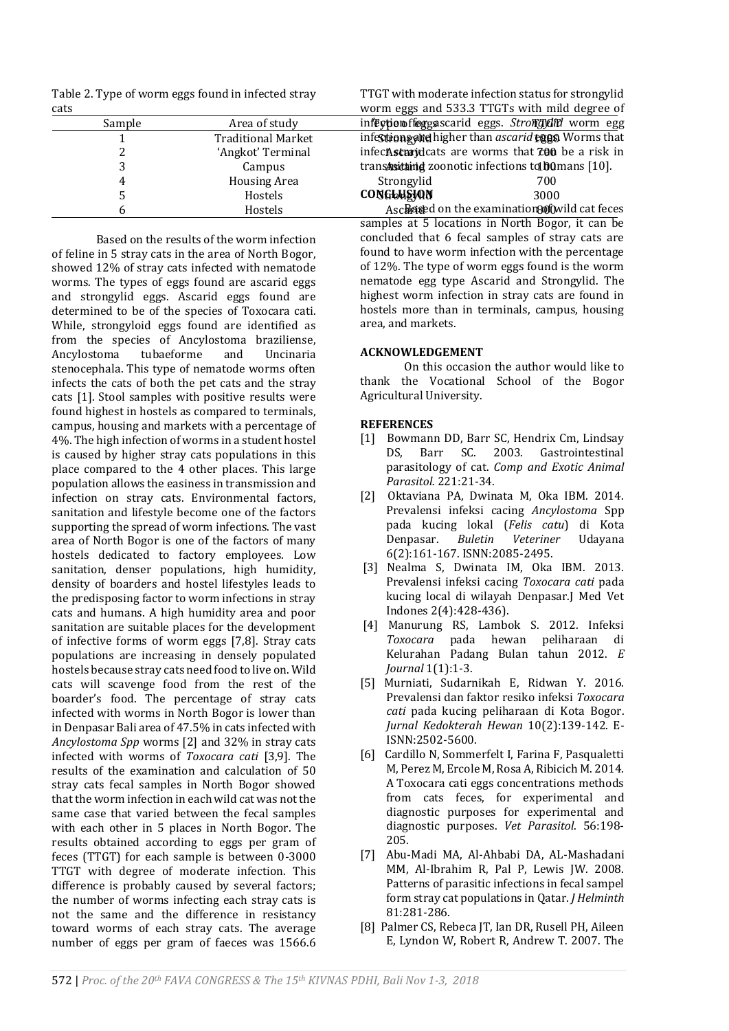Table 2. Type of worm eggs found in infected stray cats

|      |        | $\sim$ $\sim$ $\sim$ $\sim$ $\sim$ |                                                                  |  |
|------|--------|------------------------------------|------------------------------------------------------------------|--|
| cats |        |                                    | worm eggs and 533.3 TTGTs with mild degree of                    |  |
|      | Sample | Area of study                      | infection florgs scarid eggs. Strong did worm egg                |  |
|      |        | <b>Traditional Market</b>          | infestions and higher than ascarid eggs Worms that               |  |
|      |        | 'Angkot' Terminal                  | infec <b>Asturid</b> cats are worms that <b>700</b> be a risk in |  |
|      |        | Campus                             | transaritaing zoonotic infections to bomans $[10]$ .             |  |
|      |        | <b>Housing Area</b>                | Strongylid<br>700                                                |  |
|      |        | Hostels                            | <b>CONGLHEION</b><br>3000                                        |  |
|      |        | Hostels                            | Ascriated on the examination and not feces                       |  |

Based on the results of the worm infection of feline in 5 stray cats in the area of North Bogor, showed 12% of stray cats infected with nematode worms. The types of eggs found are ascarid eggs and strongylid eggs. Ascarid eggs found are determined to be of the species of Toxocara cati. While, strongyloid eggs found are identified as from the species of Ancylostoma braziliense,<br>Ancylostoma tubaeforme and Uncinaria Ancylostoma tubaeforme and Uncinaria stenocephala. This type of nematode worms often infects the cats of both the pet cats and the stray cats [1]. Stool samples with positive results were found highest in hostels as compared to terminals, campus, housing and markets with a percentage of 4%. The high infection of worms in a student hostel is caused by higher stray cats populations in this place compared to the 4 other places. This large population allows the easiness in transmission and infection on stray cats. Environmental factors, sanitation and lifestyle become one of the factors supporting the spread of worm infections. The vast area of North Bogor is one of the factors of many hostels dedicated to factory employees. Low sanitation, denser populations, high humidity, density of boarders and hostel lifestyles leads to the predisposing factor to worm infections in stray cats and humans. A high humidity area and poor sanitation are suitable places for the development of infective forms of worm eggs [7,8]. Stray cats populations are increasing in densely populated hostels because stray cats need food to live on. Wild cats will scavenge food from the rest of the boarder's food. The percentage of stray cats infected with worms in North Bogor is lower than in Denpasar Bali area of 47.5% in cats infected with *Ancylostoma Spp* worms [2] and 32% in stray cats infected with worms of *Toxocara cati* [3,9]. The results of the examination and calculation of 50 stray cats fecal samples in North Bogor showed that the worm infection in each wild cat was not the same case that varied between the fecal samples with each other in 5 places in North Bogor. The results obtained according to eggs per gram of feces (TTGT) for each sample is between 0-3000 TTGT with degree of moderate infection. This difference is probably caused by several factors; the number of worms infecting each stray cats is not the same and the difference in resistancy toward worms of each stray cats. The average number of eggs per gram of faeces was 1566.6

cat feces samples at 5 locations in North Bogor, it can be concluded that 6 fecal samples of stray cats are found to have worm infection with the percentage of 12%. The type of worm eggs found is the worm nematode egg type Ascarid and Strongylid. The highest worm infection in stray cats are found in hostels more than in terminals, campus, housing area, and markets.

TTGT with moderate infection status for strongylid

## **ACKNOWLEDGEMENT**

On this occasion the author would like to thank the Vocational School of the Bogor Agricultural University.

## **REFERENCES**

- [1] Bowmann DD, Barr SC, Hendrix Cm, Lindsay DS, Barr SC. 2003. Gastrointestinal parasitology of cat. *Comp and Exotic Animal Parasitol.* 221:21-34.
- [2] Oktaviana PA, Dwinata M, Oka IBM. 2014. Prevalensi infeksi cacing *Ancylostoma* Spp pada kucing lokal (*Felis catu*) di Kota Denpasar. *Buletin Veteriner* Udayana 6(2):161-167. ISNN:2085-2495.
- [3] Nealma S, Dwinata IM, Oka IBM. 2013. Prevalensi infeksi cacing *Toxocara cati* pada kucing local di wilayah Denpasar.J Med Vet Indones 2(4):428-436).
- [4] Manurung RS, Lambok S. 2012. Infeksi *Toxocara* pada hewan peliharaan di Kelurahan Padang Bulan tahun 2012. *E Journal* 1(1):1-3.
- [5] Murniati, Sudarnikah E, Ridwan Y. 2016. Prevalensi dan faktor resiko infeksi *Toxocara cati* pada kucing peliharaan di Kota Bogor. *Jurnal Kedokterah Hewan* 10(2):139-142. E-ISNN:2502-5600.
- [6] Cardillo N, Sommerfelt I, Farina F, Pasqualetti M, Perez M, Ercole M, Rosa A, Ribicich M. 2014. A Toxocara cati eggs concentrations methods from cats feces, for experimental and diagnostic purposes for experimental and diagnostic purposes. *Vet Parasitol*. 56:198- 205.
- [7] Abu-Madi MA, Al-Ahbabi DA, AL-Mashadani MM, Al-Ibrahim R, Pal P, Lewis JW. 2008. Patterns of parasitic infections in fecal sampel form stray cat populations in Qatar. *J Helminth* 81:281-286.
- [8] Palmer CS, Rebeca JT, Ian DR, Rusell PH, Aileen E, Lyndon W, Robert R, Andrew T. 2007. The